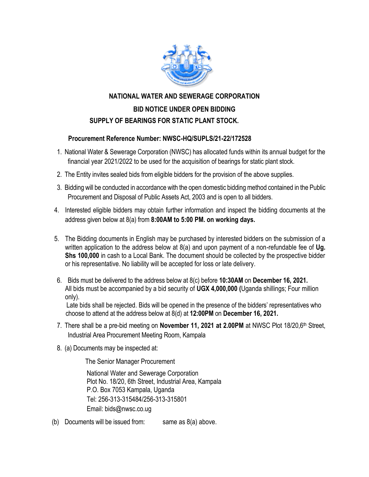

## **NATIONAL WATER AND SEWERAGE CORPORATION BID NOTICE UNDER OPEN BIDDING SUPPLY OF BEARINGS FOR STATIC PLANT STOCK.**

## **Procurement Reference Number: NWSC-HQ/SUPLS/21-22/172528**

- 1. National Water & Sewerage Corporation (NWSC) has allocated funds within its annual budget for the financial year 2021/2022 to be used for the acquisition of bearings for static plant stock.
- 2. The Entity invites sealed bids from eligible bidders for the provision of the above supplies.
- 3. Bidding will be conducted in accordance with the open domestic bidding method contained in the Public Procurement and Disposal of Public Assets Act, 2003 and is open to all bidders.
- 4. Interested eligible bidders may obtain further information and inspect the bidding documents at the address given below at 8(a) from **8:00AM to 5:00 PM. on working days.**
- 5. The Bidding documents in English may be purchased by interested bidders on the submission of a written application to the address below at 8(a) and upon payment of a non-refundable fee of **Ug. Shs 100,000** in cash to a Local Bank. The document should be collected by the prospective bidder or his representative. No liability will be accepted for loss or late delivery.
- 6. Bids must be delivered to the address below at 8(c) before **10:30AM** on **December 16, 2021.** All bids must be accompanied by a bid security of **UGX 4,000,000 (**Uganda shillings; Four million only).

 Late bids shall be rejected. Bids will be opened in the presence of the bidders' representatives who choose to attend at the address below at 8(d) at **12:00PM** on **December 16, 2021.**

- 7. There shall be a pre-bid meeting on **November 11, 2021 at 2.00PM** at NWSC Plot 18/20,6th Street, Industrial Area Procurement Meeting Room, Kampala
- 8. (a) Documents may be inspected at:

The Senior Manager Procurement

National Water and Sewerage Corporation Plot No. 18/20, 6th Street, Industrial Area, Kampala P.O. Box 7053 Kampala, Uganda Tel: 256-313-315484/256-313-315801 Email: bids@nwsc.co.ug

(b) Documents will be issued from: same as  $8(a)$  above.